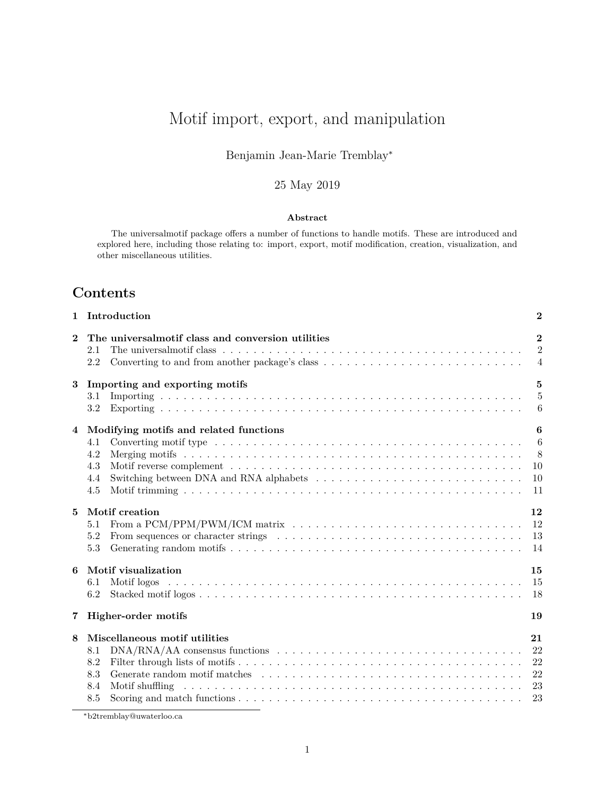# <span id="page-0-0"></span>Motif import, export, and manipulation

### Benjamin Jean-Marie Tremblay<sup>∗</sup>

### 25 May 2019

#### **Abstract**

The universalmotif package offers a number of functions to handle motifs. These are introduced and explored here, including those relating to: import, export, motif modification, creation, visualization, and other miscellaneous utilities.

## **Contents**

| Introduction                                                                                                                                                                                                                                                                                                                                                                                                   | $\bf{2}$                                         |
|----------------------------------------------------------------------------------------------------------------------------------------------------------------------------------------------------------------------------------------------------------------------------------------------------------------------------------------------------------------------------------------------------------------|--------------------------------------------------|
| The universal motif class and conversion utilities<br>2.1<br>2.2                                                                                                                                                                                                                                                                                                                                               | $\mathbf{2}$<br>$\overline{2}$<br>$\overline{4}$ |
| Importing and exporting motifs<br>$\bf{3}$<br>3.1<br>3.2                                                                                                                                                                                                                                                                                                                                                       | $\bf{5}$<br>$\overline{5}$<br>6                  |
| Modifying motifs and related functions<br>4.1<br>4.2<br>4.3<br>4.4<br>4.5                                                                                                                                                                                                                                                                                                                                      | 6<br>6<br>8<br>10<br>10<br>11                    |
| <b>Motif</b> creation<br>From a PCM/PPM/PWM/ICM matrix $\dots \dots \dots \dots \dots \dots \dots \dots \dots \dots \dots \dots \dots \dots$<br>5.1<br>5.2<br>From sequences or character strings (a) in the set of the set of the set of the set of the set of the set of the set of the set of the set of the set of the set of the set of the set of the set of the set of the set of the<br>5.3            | 12<br>12<br>13<br>14                             |
| Motif visualization<br>6.1<br>6.2                                                                                                                                                                                                                                                                                                                                                                              | 15<br>15<br>18                                   |
| Higher-order motifs                                                                                                                                                                                                                                                                                                                                                                                            | 19                                               |
| Miscellaneous motif utilities<br>$DNA/RNA/AA$ consensus functions $\ldots \ldots \ldots \ldots \ldots \ldots \ldots \ldots \ldots \ldots \ldots$<br>8.1<br>8.2<br>8.3<br>8.4<br>Motif shuffling received and service in the service of the service of the service of the service of the service of the service of the service of the service of the service of the service of the service of the service of th | 21<br>22<br>22<br>22<br>23<br>23                 |
|                                                                                                                                                                                                                                                                                                                                                                                                                | 8.5                                              |

<sup>∗</sup>[b2tremblay@uwaterloo.ca](mailto:b2tremblay@uwaterloo.ca)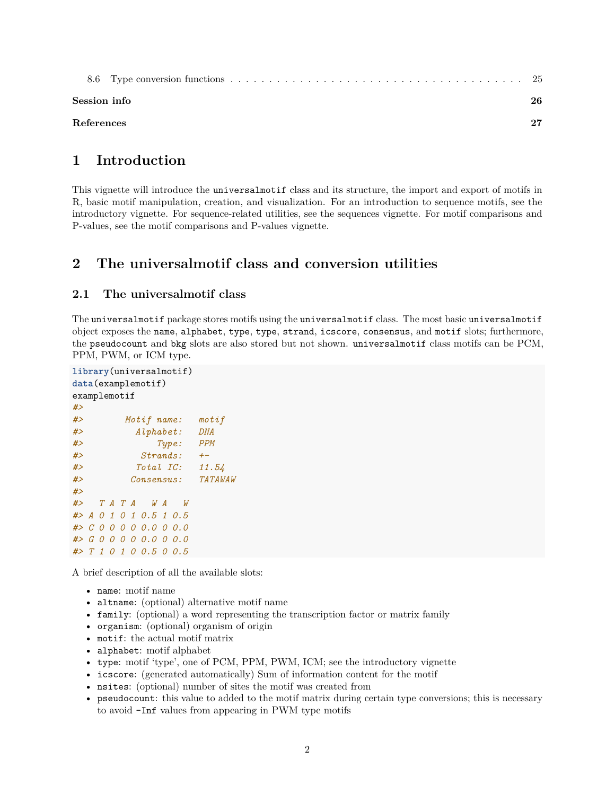| Session info |  |
|--------------|--|
| References   |  |

## <span id="page-1-0"></span>**1 Introduction**

This vignette will introduce the universalmotif class and its structure, the import and export of motifs in R, basic motif manipulation, creation, and visualization. For an introduction to sequence motifs, see the [introductory](#page-0-0) vignette. For sequence-related utilities, see the [sequences](#page-0-0) vignette. For motif comparisons and P-values, see the [motif comparisons and P-values](#page-0-0) vignette.

## <span id="page-1-1"></span>**2 The universalmotif class and conversion utilities**

#### <span id="page-1-2"></span>**2.1 The universalmotif class**

The universalmotif package stores motifs using the universalmotif class. The most basic universalmotif object exposes the name, alphabet, type, type, strand, icscore, consensus, and motif slots; furthermore, the pseudocount and bkg slots are also stored but not shown. universalmotif class motifs can be PCM, PPM, PWM, or ICM type.

```
library(universalmotif)
data(examplemotif)
examplemotif
#>
#> Motif name: motif
#> Alphabet: DNA
#> Type: PPM
#> Strands: +-
#> Total IC: 11.54
#> Consensus: TATAWAW
#>
#> T A T A W A W
#> A 0 1 0 1 0.5 1 0.5
#> C 0 0 0 0 0.0 0 0.0
#> G 0 0 0 0 0.0 0 0.0
#> T 1 0 1 0 0.5 0 0.5
```
A brief description of all the available slots:

- name: motif name
- altname: (optional) alternative motif name
- family: (optional) a word representing the transcription factor or matrix family
- organism: (optional) organism of origin
- motif: the actual motif matrix
- alphabet: motif alphabet
- type: motif 'type', one of PCM, PPM, PWM, ICM; see the [introductory](#page-0-0) vignette
- icscore: (generated automatically) Sum of information content for the motif
- nsites: (optional) number of sites the motif was created from
- pseudocount: this value to added to the motif matrix during certain type conversions; this is necessary to avoid -Inf values from appearing in PWM type motifs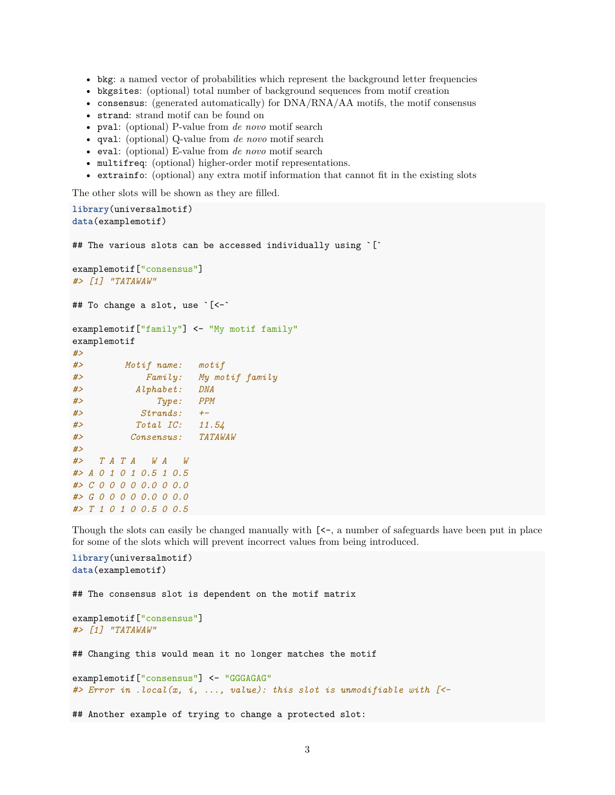- bkg: a named vector of probabilities which represent the background letter frequencies
- bkgsites: (optional) total number of background sequences from motif creation
- consensus: (generated automatically) for  $DNA/RNA/AA$  motifs, the motif consensus
- strand: strand motif can be found on
- pval: (optional) P-value from *de novo* motif search
- qval: (optional) Q-value from *de novo* motif search
- eval: (optional) E-value from *de novo* motif search
- multifreq: (optional) higher-order motif representations.
- extrainfo: (optional) any extra motif information that cannot fit in the existing slots

The other slots will be shown as they are filled.

```
library(universalmotif)
data(examplemotif)
## The various slots can be accessed individually using `[`
examplemotif["consensus"]
#> [1] "TATAWAW"
## To change a slot, use `[<-`
examplemotif["family"] <- "My motif family"
examplemotif
#>
#> Motif name: motif
#> Family: My motif family
#> Alphabet: DNA
#> Type: PPM
#> Strands: +-
#> Total IC: 11.54
#> Consensus: TATAWAW
#>
#> T A T A W A W
#> A 0 1 0 1 0.5 1 0.5
#> C 0 0 0 0 0.0 0 0.0
#> G 0 0 0 0 0.0 0 0.0
#> T 1 0 1 0 0.5 0 0.5
```
Though the slots can easily be changed manually with  $\ll$ -, a number of safeguards have been put in place for some of the slots which will prevent incorrect values from being introduced.

```
library(universalmotif)
data(examplemotif)
## The consensus slot is dependent on the motif matrix
examplemotif["consensus"]
#> [1] "TATAWAW"
## Changing this would mean it no longer matches the motif
examplemotif<sup>["consensus"] <- "GGGAGAG"</sup>
#> Error in .local(x, i, ..., value): this slot is unmodifiable with [<-
## Another example of trying to change a protected slot:
```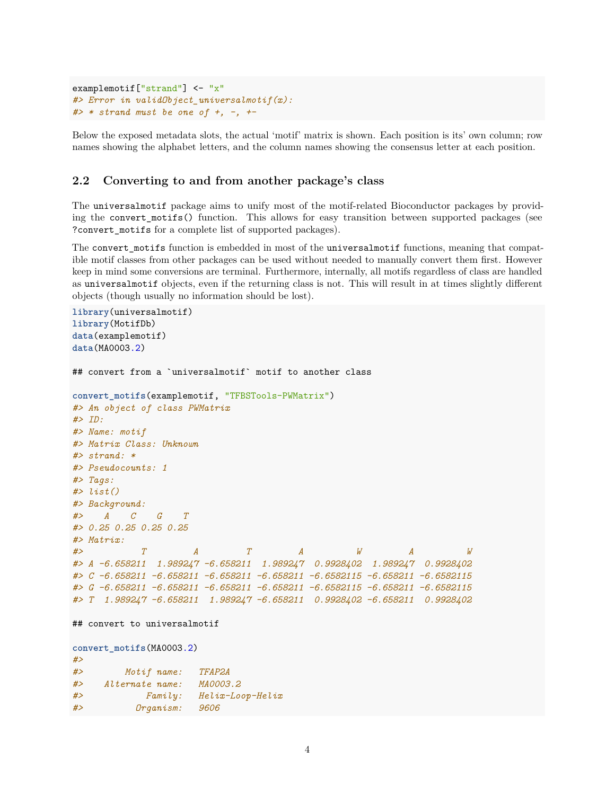```
examplemotif<sup>["strand"] <- "x"</sup>
#> Error in validObject_universalmotif(x):
#> * strand must be one of +, -, +-
```
Below the exposed metadata slots, the actual 'motif' matrix is shown. Each position is its' own column; row names showing the alphabet letters, and the column names showing the consensus letter at each position.

#### <span id="page-3-0"></span>**2.2 Converting to and from another package's class**

The universalmotif package aims to unify most of the motif-related Bioconductor packages by providing the convert\_motifs() function. This allows for easy transition between supported packages (see ?convert\_motifs for a complete list of supported packages).

The convert\_motifs function is embedded in most of the universalmotif functions, meaning that compatible motif classes from other packages can be used without needed to manually convert them first. However keep in mind some conversions are terminal. Furthermore, internally, all motifs regardless of class are handled as universalmotif objects, even if the returning class is not. This will result in at times slightly different objects (though usually no information should be lost).

```
library(universalmotif)
library(MotifDb)
data(examplemotif)
data(MA0003.2)
## convert from a `universalmotif` motif to another class
convert_motifs(examplemotif, "TFBSTools-PWMatrix")
#> An object of class PWMatrix
#> ID:
#> Name: motif
#> Matrix Class: Unknown
#> strand: *
#> Pseudocounts: 1
#> Tags:
#> list()
#> Background:
#> A C G T
#> 0.25 0.25 0.25 0.25
#> Matrix:
#> T A T A W A W
#> A -6.658211 1.989247 -6.658211 1.989247 0.9928402 1.989247 0.9928402
#> C -6.658211 -6.658211 -6.658211 -6.658211 -6.6582115 -6.658211 -6.6582115
#> G -6.658211 -6.658211 -6.658211 -6.658211 -6.6582115 -6.658211 -6.6582115
#> T 1.989247 -6.658211 1.989247 -6.658211 0.9928402 -6.658211 0.9928402
## convert to universalmotif
convert_motifs(MA0003.2)
#>
#> Motif name: TFAP2A
#> Alternate name: MA0003.2
#> Family: Helix-Loop-Helix
#> Organism: 9606
```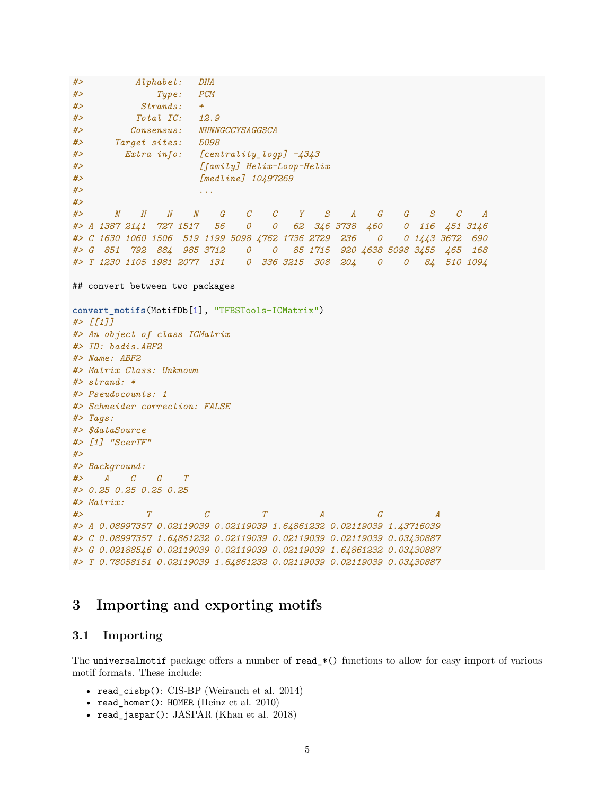```
#> Alphabet: DNA
#> Type: PCM
#> Strands: +
#> Total IC: 12.9
#> Consensus: NNNNGCCYSAGGSCA
#> Target sites: 5098
#> Extra info: [centrality_logp] -4343
#> [family] Helix-Loop-Helix
#> [medline] 10497269
#> ...
#>
#> N N N N G C C Y S A G G S C A
#> A 1387 2141 727 1517 56 0 0 62 346 3738 460 0 116 451 3146
#> C 1630 1060 1506 519 1199 5098 4762 1736 2729 236 0 0 1443 3672 690
#> G 851 792 884 985 3712 0 0 85 1715 920 4638 5098 3455 465 168
#> T 1230 1105 1981 2077 131 0 336 3215 308 204 0 0 84 510 1094
## convert between two packages
convert_motifs(MotifDb[1], "TFBSTools-ICMatrix")
#> [[1]]
#> An object of class ICMatrix
#> ID: badis.ABF2
#> Name: ABF2
#> Matrix Class: Unknown
#> strand: *
#> Pseudocounts: 1
#> Schneider correction: FALSE
#> Tags:
#> $dataSource
#> [1] "ScerTF"
#>
#> Background:
#> A C G T
#> 0.25 0.25 0.25 0.25
#> Matrix:
#> T C T A G A
#> A 0.08997357 0.02119039 0.02119039 1.64861232 0.02119039 1.43716039
#> C 0.08997357 1.64861232 0.02119039 0.02119039 0.02119039 0.03430887
#> G 0.02188546 0.02119039 0.02119039 0.02119039 1.64861232 0.03430887
#> T 0.78058151 0.02119039 1.64861232 0.02119039 0.02119039 0.03430887
```
### <span id="page-4-0"></span>**3 Importing and exporting motifs**

#### <span id="page-4-1"></span>**3.1 Importing**

The universalmotif package offers a number of read\_\*() functions to allow for easy import of various motif formats. These include:

- read\_cisbp(): CIS-BP (Weirauch et al. 2014)
- read\_homer(): HOMER (Heinz et al. 2010)
- read\_jaspar(): JASPAR (Khan et al. 2018)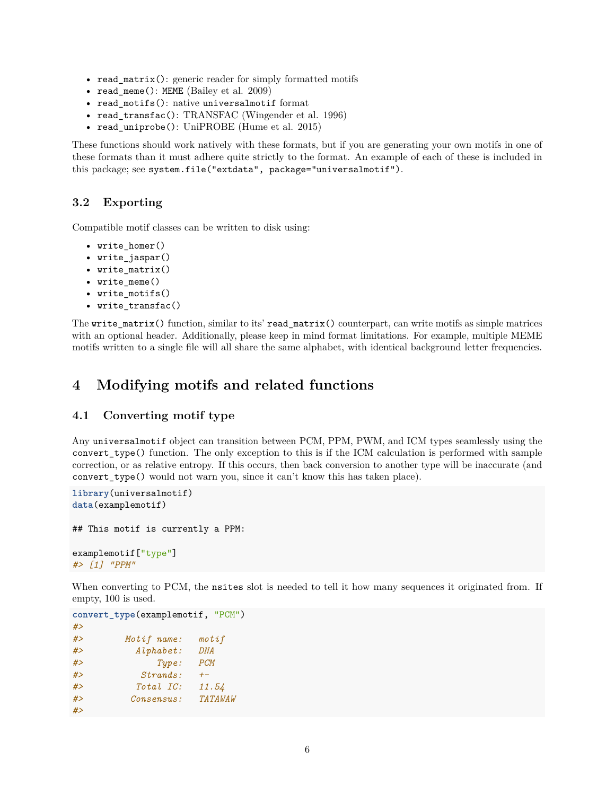- read matrix(): generic reader for simply formatted motifs
- read\_meme(): MEME (Bailey et al. 2009)
- read motifs(): native universalmotif format
- read\_transfac(): TRANSFAC (Wingender et al. 1996)
- read\_uniprobe(): UniPROBE (Hume et al. 2015)

These functions should work natively with these formats, but if you are generating your own motifs in one of these formats than it must adhere quite strictly to the format. An example of each of these is included in this package; see system.file("extdata", package="universalmotif").

#### <span id="page-5-0"></span>**3.2 Exporting**

Compatible motif classes can be written to disk using:

- write homer()
- write\_jaspar()
- write\_matrix()
- write\_meme()
- write\_motifs()
- write\_transfac()

The write\_matrix() function, similar to its' read\_matrix() counterpart, can write motifs as simple matrices with an optional header. Additionally, please keep in mind format limitations. For example, multiple MEME motifs written to a single file will all share the same alphabet, with identical background letter frequencies.

## <span id="page-5-1"></span>**4 Modifying motifs and related functions**

#### <span id="page-5-2"></span>**4.1 Converting motif type**

Any universalmotif object can transition between PCM, PPM, PWM, and ICM types seamlessly using the convert\_type() function. The only exception to this is if the ICM calculation is performed with sample correction, or as relative entropy. If this occurs, then back conversion to another type will be inaccurate (and convert\_type() would not warn you, since it can't know this has taken place).

```
library(universalmotif)
data(examplemotif)
## This motif is currently a PPM:
examplemotif["type"]
#> [1] "PPM"
```
When converting to PCM, the nsites slot is needed to tell it how many sequences it originated from. If empty, 100 is used.

```
convert_type(examplemotif, "PCM")
#>
#> Motif name: motif
#> Alphabet: DNA
#> Type: PCM
#> Strands: +-
#> Total IC: 11.54
#> Consensus: TATAWAW
#>
```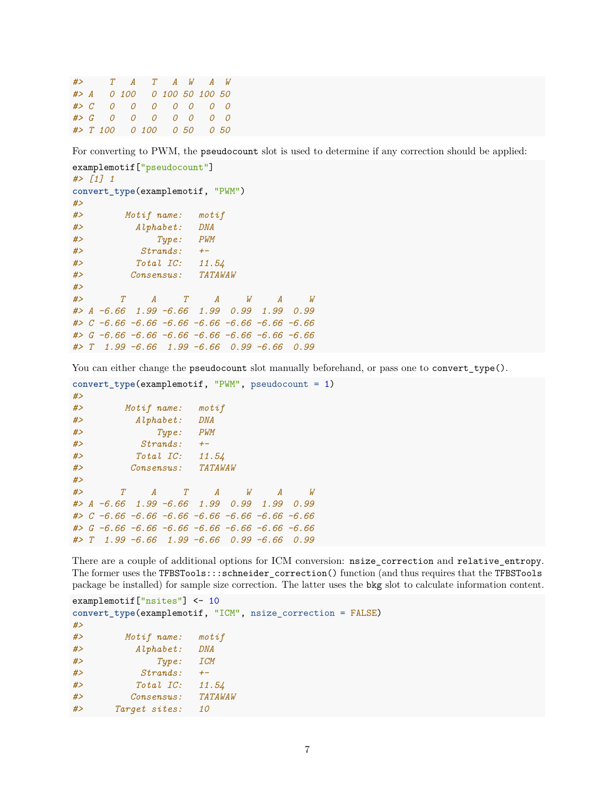*#> T A T A W A W #> A 0 100 0 100 50 100 50 #> C 0 0 0 0 0 0 0 #> G 0 0 0 0 0 0 0 #> T 100 0 100 0 50 0 50*

For converting to PWM, the pseudocount slot is used to determine if any correction should be applied:

```
examplemotif["pseudocount"]
#> [1] 1
convert_type(examplemotif, "PWM")
#>
#> Motif name: motif
#> Alphabet: DNA
#> Type: PWM
#> Strands: +-
#> Total IC: 11.54
#> Consensus: TATAWAW
#>
#> T A T A W A W
#> A -6.66 1.99 -6.66 1.99 0.99 1.99 0.99
#> C -6.66 -6.66 -6.66 -6.66 -6.66 -6.66 -6.66
#> G -6.66 -6.66 -6.66 -6.66 -6.66 -6.66 -6.66
#> T 1.99 -6.66 1.99 -6.66 0.99 -6.66 0.99
```
You can either change the pseudocount slot manually beforehand, or pass one to convert\_type().

```
convert_type(examplemotif, "PWM", pseudocount = 1)
#>
#> Motif name: motif
#> Alphabet: DNA
#> Type: PWM
#> Strands: +-
#> Total IC: 11.54
#> Consensus: TATAWAW
#>
#> T A T A W A W
#> A -6.66 1.99 -6.66 1.99 0.99 1.99 0.99
#> C -6.66 -6.66 -6.66 -6.66 -6.66 -6.66 -6.66
#> G -6.66 -6.66 -6.66 -6.66 -6.66 -6.66 -6.66
#> T 1.99 -6.66 1.99 -6.66 0.99 -6.66 0.99
```
There are a couple of additional options for ICM conversion:  $nsize\_correction$  and relative\_entropy. The former uses the TFBSTools:::schneider\_correction() function (and thus requires that the TFBSTools package be installed) for sample size correction. The latter uses the bkg slot to calculate information content.

```
examplemotif["nsites"] <- 10
convert_type(examplemotif, "ICM", nsize_correction = FALSE)
#>
#> Motif name: motif
#> Alphabet: DNA
#> Type: ICM
#> Strands: +-
#> Total IC: 11.54
#> Consensus: TATAWAW
#> Target sites: 10
```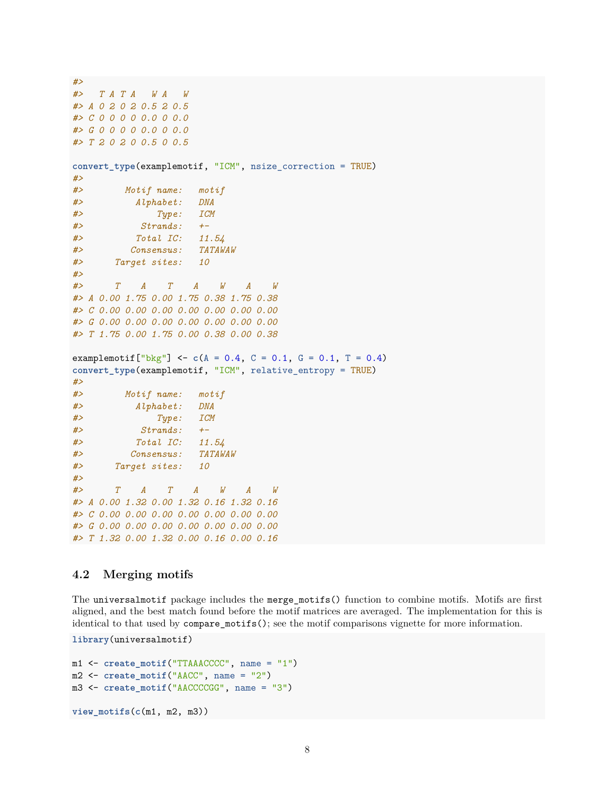```
#>
#> T A T A W A W
#> A 0 2 0 2 0.5 2 0.5
#> C 0 0 0 0 0.0 0 0.0
#> G 0 0 0 0 0.0 0 0.0
#> T 2 0 2 0 0.5 0 0.5
convert_type(examplemotif, "ICM", nsize_correction = TRUE)
#>
#> Motif name: motif
#> Alphabet: DNA
#> Type: ICM
#> Strands: +-
#> Total IC: 11.54
#> Consensus: TATAWAW
#> Target sites: 10
#>
#> T A T A W A W
#> A 0.00 1.75 0.00 1.75 0.38 1.75 0.38
#> C 0.00 0.00 0.00 0.00 0.00 0.00 0.00
#> G 0.00 0.00 0.00 0.00 0.00 0.00 0.00
#> T 1.75 0.00 1.75 0.00 0.38 0.00 0.38
examplemotif<sup>["bkg"]</sup> <- c(A = 0.4, C = 0.1, G = 0.1, T = 0.4)convert_type(examplemotif, "ICM", relative_entropy = TRUE)
#>
#> Motif name: motif
#> Alphabet: DNA
#> Type: ICM
#> Strands: +-
#> Total IC: 11.54
#> Consensus: TATAWAW
#> Target sites: 10
#>
#> T A T A W A W
#> A 0.00 1.32 0.00 1.32 0.16 1.32 0.16
#> C 0.00 0.00 0.00 0.00 0.00 0.00 0.00
#> G 0.00 0.00 0.00 0.00 0.00 0.00 0.00
#> T 1.32 0.00 1.32 0.00 0.16 0.00 0.16
```
#### <span id="page-7-0"></span>**4.2 Merging motifs**

The universalmotif package includes the merge\_motifs() function to combine motifs. Motifs are first aligned, and the best match found before the motif matrices are averaged. The implementation for this is identical to that used by compare\_motifs(); see the [motif comparisons vignette](#page-0-0) for more information.

```
library(universalmotif)
```

```
m1 <- create_motif("TTAAACCCC", name = "1")
m2 <- create motif<sup>("AACC"</sup>, name = "2")
m3 <- create_motif("AACCCCGG", name = "3")
view_motifs(c(m1, m2, m3))
```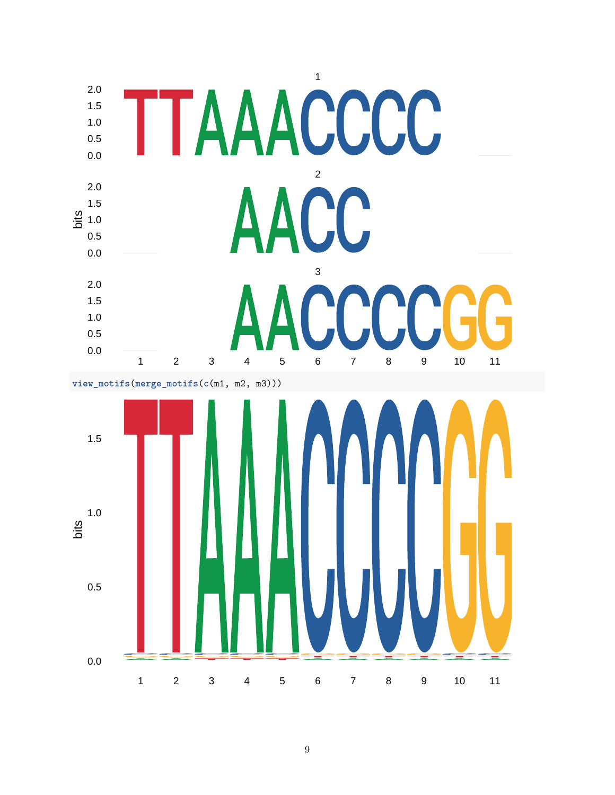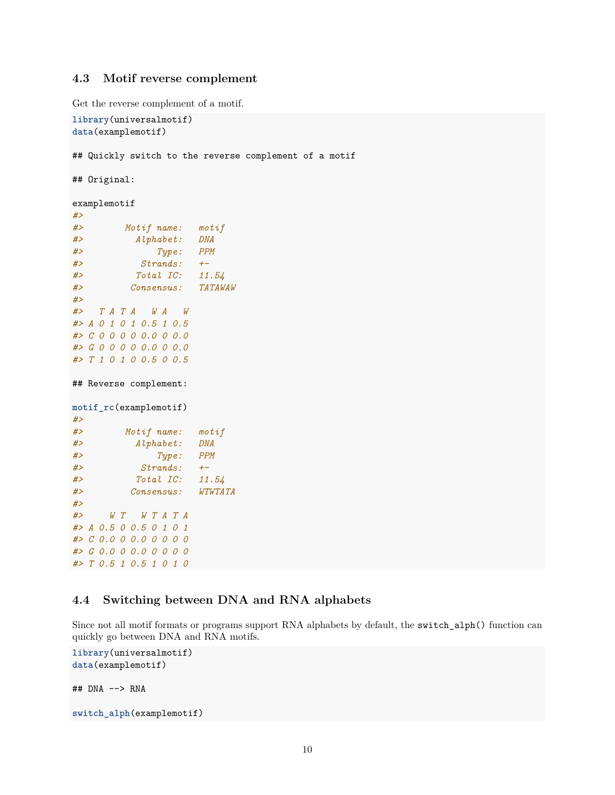#### <span id="page-9-0"></span>**4.3 Motif reverse complement**

Get the reverse complement of a motif.

```
library(universalmotif)
data(examplemotif)
## Quickly switch to the reverse complement of a motif
## Original:
examplemotif
#>
#> Motif name: motif
#> Alphabet: DNA
#> Type: PPM
#> Strands: +-
#> Total IC: 11.54
#> Consensus: TATAWAW
#>
#> T A T A W A W
#> A 0 1 0 1 0.5 1 0.5
#> C 0 0 0 0 0.0 0 0.0
#> G 0 0 0 0 0.0 0 0.0
#> T 1 0 1 0 0.5 0 0.5
## Reverse complement:
motif_rc(examplemotif)
#>
#> Motif name: motif
#> Alphabet: DNA
#> Type: PPM
#> Strands: +-
#> Total IC: 11.54
#> Consensus: WTWTATA
#>
#> W T W T A T A
#> A 0.5 0 0.5 0 1 0 1
#> C 0.0 0 0.0 0 0 0 0
#> G 0.0 0 0.0 0 0 0 0
#> T 0.5 1 0.5 1 0 1 0
```
#### <span id="page-9-1"></span>**4.4 Switching between DNA and RNA alphabets**

Since not all motif formats or programs support RNA alphabets by default, the switch\_alph() function can quickly go between DNA and RNA motifs.

```
library(universalmotif)
data(examplemotif)
## DNA --> RNA
switch_alph(examplemotif)
```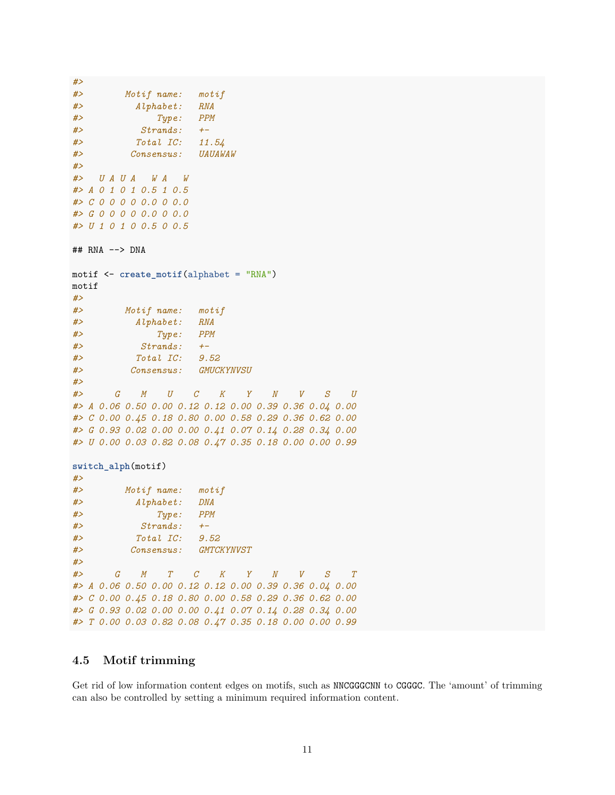```
#>
#> Motif name: motif
#> Alphabet: RNA
#> Type: PPM
#> Strands: +-
#> Total IC: 11.54
#> Consensus: UAUAWAW
#>
#> U A U A W A W
#> A 0 1 0 1 0.5 1 0.5
#> C 0 0 0 0 0.0 0 0.0
#> G 0 0 0 0 0.0 0 0.0
#> U 1 0 1 0 0.5 0 0.5
## RNA --> DNA
motif <- create_motif(alphabet = "RNA")
motif
#>
#> Motif name: motif
#> Alphabet: RNA
#> Type: PPM
#> Strands: +-
#> Total IC: 9.52
#> Consensus: GMUCKYNVSU
#>
#> G M U C K Y N V S U
#> A 0.06 0.50 0.00 0.12 0.12 0.00 0.39 0.36 0.04 0.00
#> C 0.00 0.45 0.18 0.80 0.00 0.58 0.29 0.36 0.62 0.00
#> G 0.93 0.02 0.00 0.00 0.41 0.07 0.14 0.28 0.34 0.00
#> U 0.00 0.03 0.82 0.08 0.47 0.35 0.18 0.00 0.00 0.99
switch_alph(motif)
#>
#> Motif name: motif
#> Alphabet: DNA
#> Type: PPM
#> Strands: +-
#> Total IC: 9.52
#> Consensus: GMTCKYNVST
#>
#> G M T C K Y N V S T
#> A 0.06 0.50 0.00 0.12 0.12 0.00 0.39 0.36 0.04 0.00
#> C 0.00 0.45 0.18 0.80 0.00 0.58 0.29 0.36 0.62 0.00
#> G 0.93 0.02 0.00 0.00 0.41 0.07 0.14 0.28 0.34 0.00
#> T 0.00 0.03 0.82 0.08 0.47 0.35 0.18 0.00 0.00 0.99
```
#### <span id="page-10-0"></span>**4.5 Motif trimming**

Get rid of low information content edges on motifs, such as NNCGGGCNN to CGGGC. The 'amount' of trimming can also be controlled by setting a minimum required information content.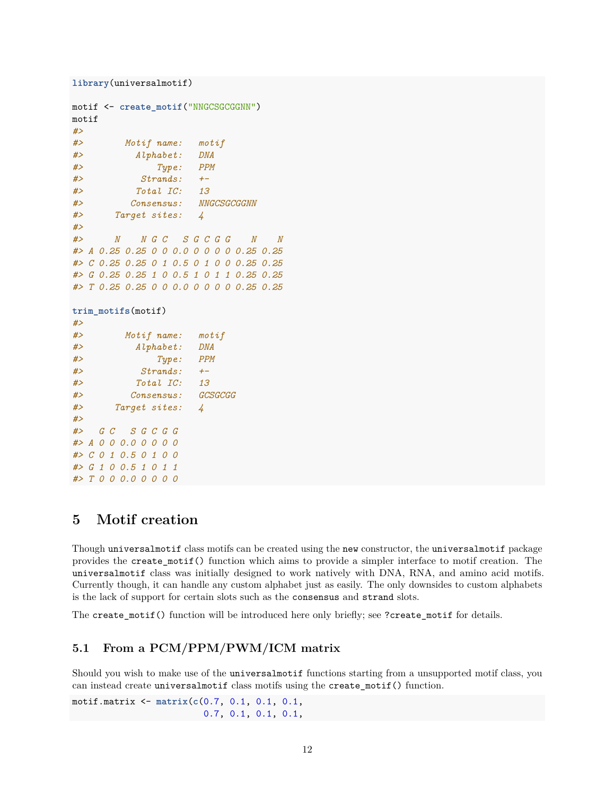```
library(universalmotif)
motif <- create_motif("NNGCSGCGGNN")
motif
#>
#> Motif name: motif
#> Alphabet: DNA
#> Type: PPM
#> Strands: +-
#> Total IC: 13
#> Consensus: NNGCSGCGGNN
#> Target sites: 4
#>
#> N N G C S G C G G N N
#> A 0.25 0.25 0 0 0.0 0 0 0 0 0.25 0.25
#> C 0.25 0.25 0 1 0.5 0 1 0 0 0.25 0.25
#> G 0.25 0.25 1 0 0.5 1 0 1 1 0.25 0.25
#> T 0.25 0.25 0 0 0.0 0 0 0 0 0.25 0.25
trim_motifs(motif)
#>
#> Motif name: motif
#> Alphabet: DNA
#> Type: PPM
#> Strands: +-
#> Total IC: 13
#> Consensus: GCSGCGG
#> Target sites: 4
#>
#> G C S G C G G
#> A 0 0 0.0 0 0 0 0
#> C 0 1 0.5 0 1 0 0
```
## <span id="page-11-0"></span>**5 Motif creation**

*#> G 1 0 0.5 1 0 1 1 #> T 0 0 0.0 0 0 0 0*

Though universalmotif class motifs can be created using the new constructor, the universalmotif package provides the create\_motif() function which aims to provide a simpler interface to motif creation. The universalmotif class was initially designed to work natively with DNA, RNA, and amino acid motifs. Currently though, it can handle any custom alphabet just as easily. The only downsides to custom alphabets is the lack of support for certain slots such as the consensus and strand slots.

The create\_motif() function will be introduced here only briefly; see ?create\_motif for details.

### <span id="page-11-1"></span>**5.1 From a PCM/PPM/PWM/ICM matrix**

Should you wish to make use of the universalmotif functions starting from a unsupported motif class, you can instead create universalmotif class motifs using the create\_motif() function.

motif.matrix <- **matrix**(**c**(0.7, 0.1, 0.1, 0.1, 0.7, 0.1, 0.1, 0.1,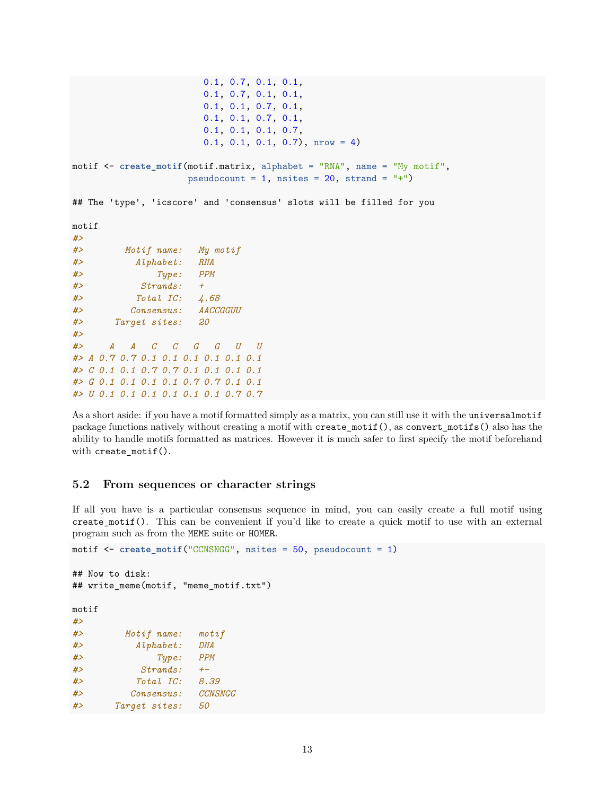```
0.1, 0.7, 0.1, 0.1,
                      0.1, 0.7, 0.1, 0.1,
                      0.1, 0.1, 0.7, 0.1,
                      0.1, 0.1, 0.7, 0.1,
                      0.1, 0.1, 0.1, 0.7,
                      0.1, 0.1, 0.1, 0.7), nrow = 4)
motif <- create_motif(motif.matrix, alphabet = "RNA", name = "My motif",
                   pseudocount = 1, nsites = 20, strand = "+")
## The 'type', 'icscore' and 'consensus' slots will be filled for you
motif
#>
#> Motif name: My motif
#> Alphabet: RNA
#> Type: PPM
#> Strands: +
#> Total IC: 4.68
#> Consensus: AACCGGUU
#> Target sites: 20
#>
#> A A C C G G U U
#> A 0.7 0.7 0.1 0.1 0.1 0.1 0.1 0.1
#> C 0.1 0.1 0.7 0.7 0.1 0.1 0.1 0.1
#> G 0.1 0.1 0.1 0.1 0.7 0.7 0.1 0.1
#> U 0.1 0.1 0.1 0.1 0.1 0.1 0.7 0.7
```
As a short aside: if you have a motif formatted simply as a matrix, you can still use it with the universalmotif package functions natively without creating a motif with create\_motif(), as convert\_motifs() also has the ability to handle motifs formatted as matrices. However it is much safer to first specify the motif beforehand with create\_motif().

#### <span id="page-12-0"></span>**5.2 From sequences or character strings**

If all you have is a particular consensus sequence in mind, you can easily create a full motif using create\_motif(). This can be convenient if you'd like to create a quick motif to use with an external program such as from the MEME suite or HOMER.

```
motif <- create_motif("CCNSNGG", nsites = 50, pseudocount = 1)
## Now to disk:
## write_meme(motif, "meme_motif.txt")
motif
#>
#> Motif name: motif
#> Alphabet: DNA
#> Type: PPM
#> Strands: +-
#> Total IC: 8.39
#> Consensus: CCNSNGG
#> Target sites: 50
```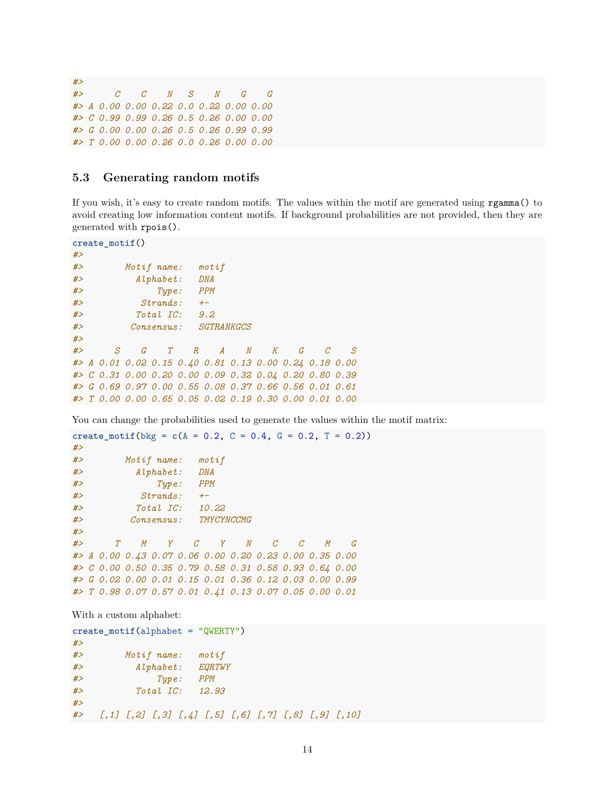*#> #> C C N S N G G #> A 0.00 0.00 0.22 0.0 0.22 0.00 0.00 #> C 0.99 0.99 0.26 0.5 0.26 0.00 0.00 #> G 0.00 0.00 0.26 0.5 0.26 0.99 0.99 #> T 0.00 0.00 0.26 0.0 0.26 0.00 0.00*

#### <span id="page-13-0"></span>**5.3 Generating random motifs**

If you wish, it's easy to create random motifs. The values within the motif are generated using rgamma() to avoid creating low information content motifs. If background probabilities are not provided, then they are generated with rpois().

```
create_motif()
#>
#> Motif name: motif
#> Alphabet: DNA
#> Type: PPM
#> Strands: +-
#> Total IC: 9.2
#> Consensus: SGTRANKGCS
#>
#> S G T R A N K G C S
#> A 0.01 0.02 0.15 0.40 0.81 0.13 0.00 0.24 0.18 0.00
#> C 0.31 0.00 0.20 0.00 0.09 0.32 0.04 0.20 0.80 0.39
#> G 0.69 0.97 0.00 0.55 0.08 0.37 0.66 0.56 0.01 0.61
#> T 0.00 0.00 0.65 0.05 0.02 0.19 0.30 0.00 0.01 0.00
```
You can change the probabilities used to generate the values within the motif matrix:

```
create_motif(bkg = c(A = 0.2, C = 0.4, G = 0.2, T = 0.2))
#>
#> Motif name: motif
#> Alphabet: DNA
#> Type: PPM
#> Strands: +-
#> Total IC: 10.22
#> Consensus: TMYCYNCCMG
#>
#> T M Y C Y N C C M G
#> A 0.00 0.43 0.07 0.06 0.00 0.20 0.23 0.00 0.35 0.00
#> C 0.00 0.50 0.35 0.79 0.58 0.31 0.58 0.93 0.64 0.00
#> G 0.02 0.00 0.01 0.15 0.01 0.36 0.12 0.03 0.00 0.99
#> T 0.98 0.07 0.57 0.01 0.41 0.13 0.07 0.05 0.00 0.01
```
With a custom alphabet:

```
create_motif(alphabet = "QWERTY")
#>
#> Motif name: motif
#> Alphabet: EQRTWY
#> Type: PPM
#> Total IC: 12.93
#>
#> [,1] [,2] [,3] [,4] [,5] [,6] [,7] [,8] [,9] [,10]
```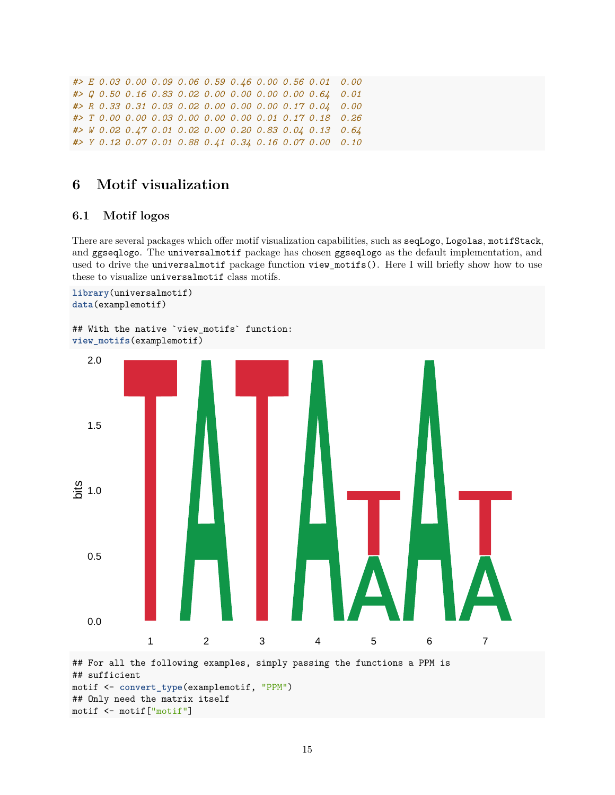```
#> E 0.03 0.00 0.09 0.06 0.59 0.46 0.00 0.56 0.01 0.00
#> Q 0.50 0.16 0.83 0.02 0.00 0.00 0.00 0.00 0.64 0.01
#> R 0.33 0.31 0.03 0.02 0.00 0.00 0.00 0.17 0.04 0.00
#> T 0.00 0.00 0.03 0.00 0.00 0.00 0.01 0.17 0.18 0.26
#> W 0.02 0.47 0.01 0.02 0.00 0.20 0.83 0.04 0.13 0.64
#> Y 0.12 0.07 0.01 0.88 0.41 0.34 0.16 0.07 0.00 0.10
```
## <span id="page-14-0"></span>**6 Motif visualization**

#### <span id="page-14-1"></span>**6.1 Motif logos**

There are several packages which offer motif visualization capabilities, such as seqLogo, Logolas, motifStack, and ggseqlogo. The universalmotif package has chosen ggseqlogo as the default implementation, and used to drive the universalmotif package function view\_motifs(). Here I will briefly show how to use these to visualize universalmotif class motifs.

```
library(universalmotif)
data(examplemotif)
```

```
## With the native `view_motifs` function:
view_motifs(examplemotif)
```


motif <- motif["motif"]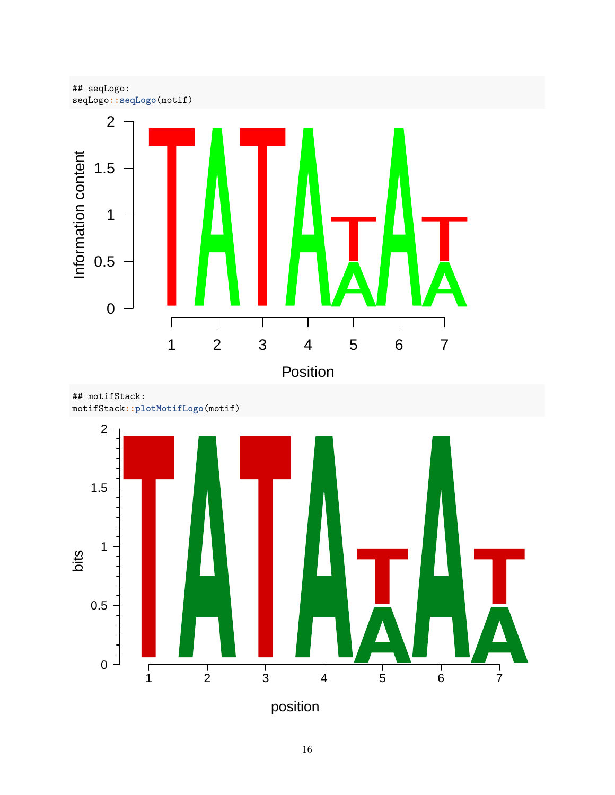

## motifStack: motifStack**::plotMotifLogo**(motif)



position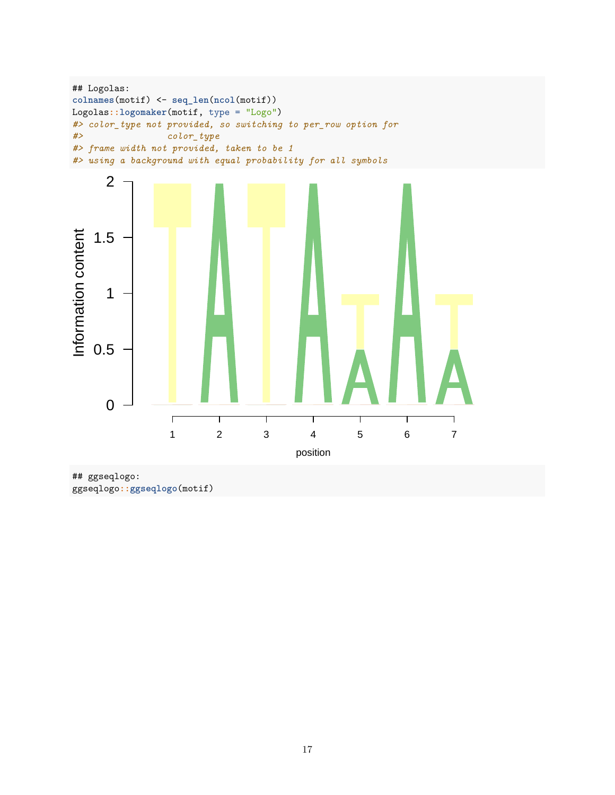```
## Logolas:
colnames(motif) <- seq_len(ncol(motif))
Logolas::logomaker(motif, type = "Logo")
#> color_type not provided, so switching to per_row option for
#> color_type
#> frame width not provided, taken to be 1
#> using a background with equal probability for all symbols
```


## ggseqlogo: ggseqlogo**::ggseqlogo**(motif)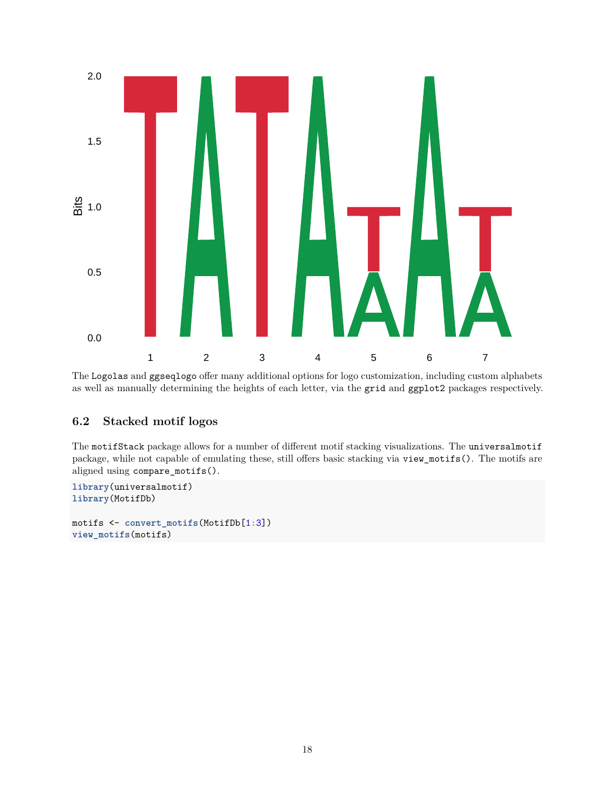

The Logolas and ggseqlogo offer many additional options for logo customization, including custom alphabets as well as manually determining the heights of each letter, via the grid and ggplot2 packages respectively.

#### <span id="page-17-0"></span>**6.2 Stacked motif logos**

The motifStack package allows for a number of different motif stacking visualizations. The universalmotif package, while not capable of emulating these, still offers basic stacking via view\_motifs(). The motifs are aligned using compare\_motifs().

```
library(universalmotif)
library(MotifDb)
motifs <- convert_motifs(MotifDb[1:3])
view_motifs(motifs)
```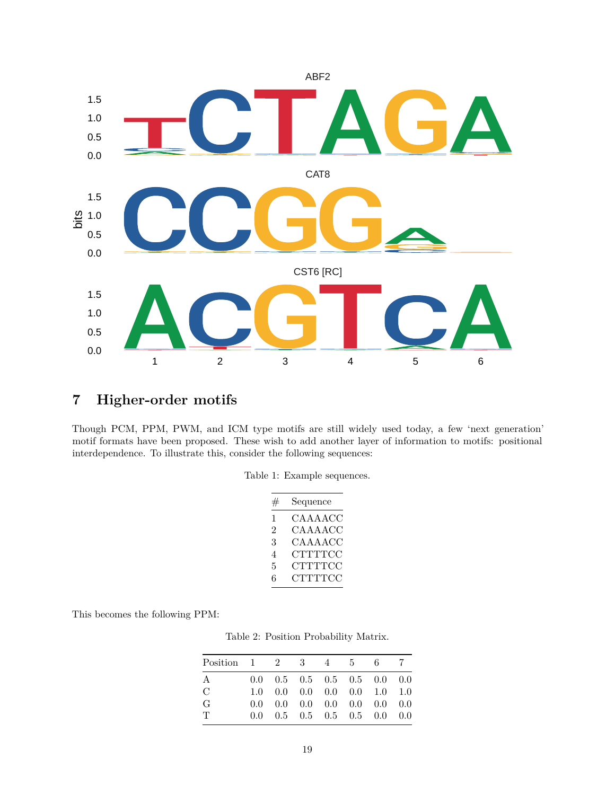

## <span id="page-18-0"></span>**7 Higher-order motifs**

Though PCM, PPM, PWM, and ICM type motifs are still widely used today, a few 'next generation' motif formats have been proposed. These wish to add another layer of information to motifs: positional interdependence. To illustrate this, consider the following sequences:

|  |  |  | Table 1: Example sequences. |
|--|--|--|-----------------------------|
|--|--|--|-----------------------------|

| # | Sequence       |
|---|----------------|
| 1 | CAAAACC        |
| 2 | CAAAACC        |
| 3 | CAAAACC        |
| 4 | <b>CTTTTCC</b> |
| 5 | CTTTTCC        |
| 6 | <b>CTTTTCC</b> |

<span id="page-18-1"></span>This becomes the following PPM:

Table 2: Position Probability Matrix.

| Position $1 \t2 \t3 \t4 \t5 \t6$ |  |                                                                   |  | $\overline{7}$ |
|----------------------------------|--|-------------------------------------------------------------------|--|----------------|
| A                                |  | $0.0 \quad 0.5 \quad 0.5 \quad 0.5 \quad 0.5 \quad 0.0 \quad 0.0$ |  |                |
| C                                |  | $1.0 \quad 0.0 \quad 0.0 \quad 0.0 \quad 0.0 \quad 1.0 \quad 1.0$ |  |                |
| G                                |  | $0.0 \quad 0.0 \quad 0.0 \quad 0.0 \quad 0.0 \quad 0.0 \quad 0.0$ |  |                |
| $\mathbf{T}$                     |  | $0.0 \quad 0.5 \quad 0.5 \quad 0.5 \quad 0.5 \quad 0.0 \quad 0.0$ |  |                |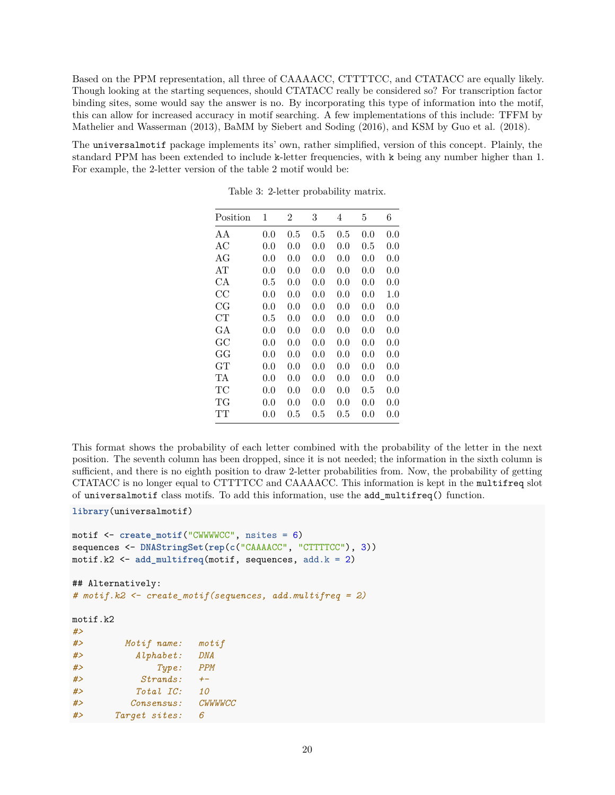Based on the PPM representation, all three of CAAAACC, CTTTTCC, and CTATACC are equally likely. Though looking at the starting sequences, should CTATACC really be considered so? For transcription factor binding sites, some would say the answer is no. By incorporating this type of information into the motif, this can allow for increased accuracy in motif searching. A few implementations of this include: TFFM by Mathelier and Wasserman (2013), BaMM by Siebert and Soding (2016), and KSM by Guo et al. (2018).

The universalmotif package implements its' own, rather simplified, version of this concept. Plainly, the standard PPM has been extended to include k-letter frequencies, with k being any number higher than 1. For example, the 2-letter version of the table [2](#page-18-1) motif would be:

| Position | 1   | $\overline{2}$ | 3       | 4       | 5         | 6   |
|----------|-----|----------------|---------|---------|-----------|-----|
| A A      | 0.0 | 0.5            | $0.5\,$ | $0.5\,$ | 0.0       | 0.0 |
| АC       | 0.0 | 0.0            | $0.0\,$ | 0.0     | $0.5\,$   | 0.0 |
| AG       | 0.0 | 0.0            | 0.0     | 0.0     | 0.0       | 0.0 |
| AT       | 0.0 | 0.0            | 0.0     | 0.0     | 0.0       | 0.0 |
| СA       | 0.5 | 0.0            | 0.0     | 0.0     | 0.0       | 0.0 |
| CC       | 0.0 | 0.0            | 0.0     | 0.0     | 0.0       | 1.0 |
| CG       | 0.0 | 0.0            | 0.0     | 0.0     | 0.0       | 0.0 |
| CT       | 0.5 | 0.0            | 0.0     | 0.0     | 0.0       | 0.0 |
| GА       | 0.0 | 0.0            | 0.0     | 0.0     | 0.0       | 0.0 |
| GC       | 0.0 | 0.0            | 0.0     | 0.0     | 0.0       | 0.0 |
| GG       | 0.0 | 0.0            | $0.0\,$ | 0.0     | 0.0       | 0.0 |
| GT       | 0.0 | 0.0            | 0.0     | 0.0     | 0.0       | 0.0 |
| TА       | 0.0 | 0.0            | $0.0\,$ | 0.0     | $0.0\,$   | 0.0 |
| TC       | 0.0 | 0.0            | 0.0     | 0.0     | $\rm 0.5$ | 0.0 |
| TG       | 0.0 | 0.0            | $0.0\,$ | 0.0     | $0.0\,$   | 0.0 |
| TT       | 0.0 | $0.5\,$        | $0.5\,$ | $0.5\,$ | $0.0\,$   | 0.0 |

Table 3: 2-letter probability matrix.

This format shows the probability of each letter combined with the probability of the letter in the next position. The seventh column has been dropped, since it is not needed; the information in the sixth column is sufficient, and there is no eighth position to draw 2-letter probabilities from. Now, the probability of getting CTATACC is no longer equal to CTTTTCC and CAAAACC. This information is kept in the multifreq slot of universalmotif class motifs. To add this information, use the add\_multifreq() function.

```
library(universalmotif)
```

```
motif <- create_motif("CWWWWCC", nsites = 6)
sequences <- DNAStringSet(rep(c("CAAAACC", "CTTTTCC"), 3))
motif.k2 \leq add multifreq(motif, sequences, add.k = 2)
```

```
## Alternatively:
# motif.k2 <- create_motif(sequences, add.multifreq = 2)
```
motif.k2

| #  |               |                                                 |
|----|---------------|-------------------------------------------------|
| #> | Motif name:   | $\mathop{\mathtt{mot}} i$ $\mathop{\mathtt{f}}$ |
| #> | Alphabet:     | <b>DNA</b>                                      |
| #> | Type:         | <b>PPM</b>                                      |
| #  | Strands:      | $+-$                                            |
| #  | Total IC:     | 10                                              |
| #> | Consensus:    | CWWWWCC                                         |
| #> | Target sites: | 6                                               |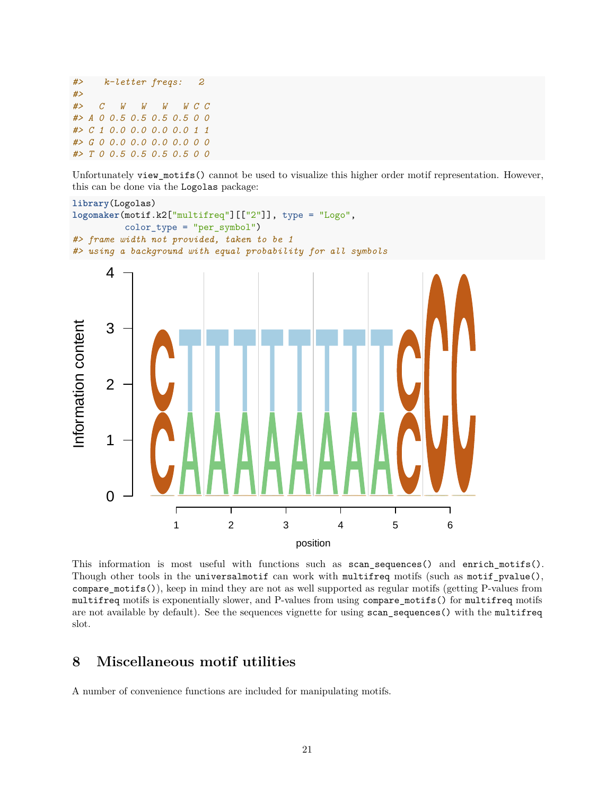```
#> k-letter freqs: 2
#>
#> C W W W W C C
#> A 0 0.5 0.5 0.5 0.5 0 0
#> C 1 0.0 0.0 0.0 0.0 1 1
#> G 0 0.0 0.0 0.0 0.0 0 0
#> T 0 0.5 0.5 0.5 0.5 0 0
```
Unfortunately view\_motifs() cannot be used to visualize this higher order motif representation. However, this can be done via the Logolas package:



This information is most useful with functions such as scan sequences() and enrich motifs(). Though other tools in the universalmotif can work with multifreq motifs (such as motif\_pvalue(), compare\_motifs()), keep in mind they are not as well supported as regular motifs (getting P-values from multifreq motifs is exponentially slower, and P-values from using compare\_motifs() for multifreq motifs are not available by default). See the [sequences](#page-0-0) vignette for using scan\_sequences() with the multifreq slot.

## <span id="page-20-0"></span>**8 Miscellaneous motif utilities**

A number of convenience functions are included for manipulating motifs.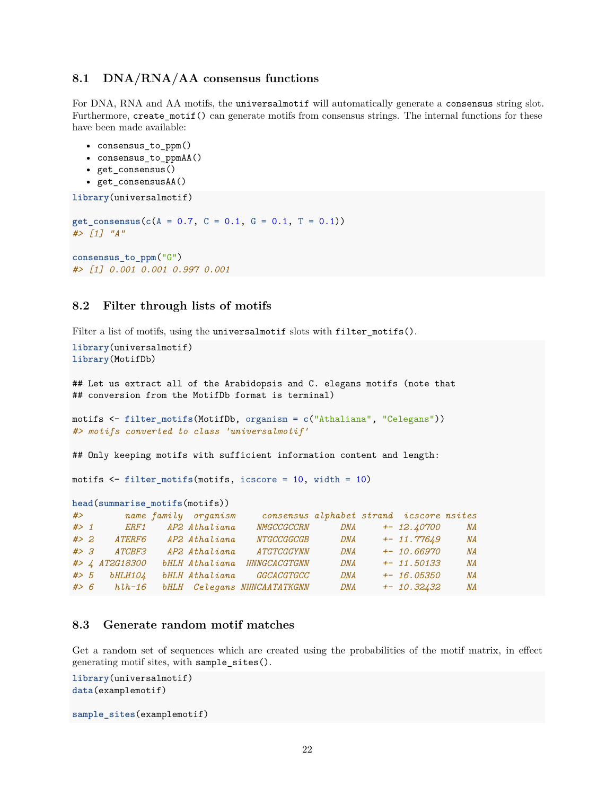#### <span id="page-21-0"></span>**8.1 DNA/RNA/AA consensus functions**

For DNA, RNA and AA motifs, the universalmotif will automatically generate a consensus string slot. Furthermore, create\_motif() can generate motifs from consensus strings. The internal functions for these have been made available:

- consensus\_to\_ppm()
- consensus\_to\_ppmAA()
- get\_consensus()
- get\_consensusAA()

```
library(universalmotif)
```

```
get_consensus(c(A = 0.7, C = 0.1, G = 0.1, T = 0.1))
#> [1] "A"
consensus_to_ppm("G")
#> [1] 0.001 0.001 0.997 0.001
```
#### <span id="page-21-1"></span>**8.2 Filter through lists of motifs**

Filter a list of motifs, using the universalmotif slots with filter\_motifs().

```
library(universalmotif)
library(MotifDb)
## Let us extract all of the Arabidopsis and C. elegans motifs (note that
## conversion from the MotifDb format is terminal)
motifs <- filter_motifs(MotifDb, organism = c("Athaliana", "Celegans"))
#> motifs converted to class 'universalmotif'
## Only keeping motifs with sufficient information content and length:
motifs <- filter_motifs(motifs, icscore = 10, width = 10)
head(summarise_motifs(motifs))
#> name family organism consensus alphabet strand icscore nsites
#> 1 ERF1 AP2 Athaliana NMGCCGCCRN DNA +- 12.40700 NA
#> 2 ATERF6 AP2 Athaliana NTGCCGGCGB DNA +- 11.77649 NA
#> 3 ATCBF3 AP2 Athaliana ATGTCGGYNN DNA +- 10.66970 NA
#> 4 AT2G18300 bHLH Athaliana NNNGCACGTGNN DNA +- 11.50133 NA
#> 5 bHLH104 bHLH Athaliana GGCACGTGCC DNA +- 16.05350 NA
#> 6 hlh-16 bHLH Celegans NNNCAATATKGNN DNA +- 10.32432 NA
```
#### <span id="page-21-2"></span>**8.3 Generate random motif matches**

Get a random set of sequences which are created using the probabilities of the motif matrix, in effect generating motif sites, with sample\_sites().

```
library(universalmotif)
data(examplemotif)
sample_sites(examplemotif)
```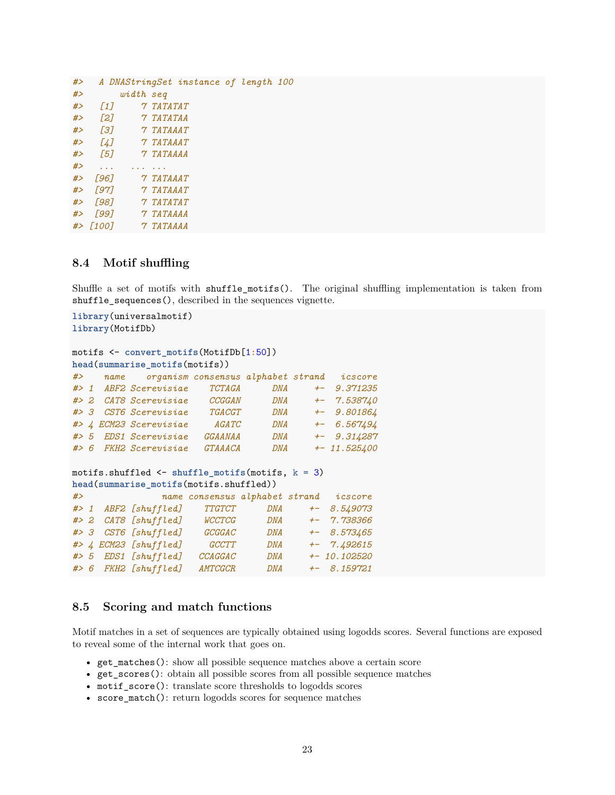| $\left[1\right]$ |  |           |                                                                                                                                                                                                                           |                                       |
|------------------|--|-----------|---------------------------------------------------------------------------------------------------------------------------------------------------------------------------------------------------------------------------|---------------------------------------|
| [2]              |  |           |                                                                                                                                                                                                                           |                                       |
| Г31              |  |           |                                                                                                                                                                                                                           |                                       |
| [4]              |  |           |                                                                                                                                                                                                                           |                                       |
| $\sqrt{57}$      |  |           |                                                                                                                                                                                                                           |                                       |
|                  |  |           |                                                                                                                                                                                                                           |                                       |
| Г961<br>#        |  |           |                                                                                                                                                                                                                           |                                       |
| Г971<br>#        |  |           |                                                                                                                                                                                                                           |                                       |
| Г981<br>#        |  |           |                                                                                                                                                                                                                           |                                       |
| Г991<br>#        |  |           |                                                                                                                                                                                                                           |                                       |
| $#$ $1001$       |  |           |                                                                                                                                                                                                                           |                                       |
|                  |  | width seq | <i><b>7 TATATAT</b></i><br><i><b>7 TATATAA</b></i><br><i>7 TATAAAT</i><br><i>7 TATAAAT</i><br><i><b>7 TATAAAA</b></i><br><i>7 TATAAAT</i><br><i>7 TATAAAT</i><br><i>7 TATATAT</i><br><i>7 TATAAAA</i><br><i>7 TATAAAA</i> | A DNAStringSet instance of length 100 |

#### <span id="page-22-0"></span>**8.4 Motif shuffling**

Shuffle a set of motifs with shuffle\_motifs(). The original shuffling implementation is taken from shuffle\_sequences(), described in the [sequences](#page-0-0) vignette.

```
library(universalmotif)
library(MotifDb)
motifs <- convert_motifs(MotifDb[1:50])
head(summarise_motifs(motifs))
#> name organism consensus alphabet strand icscore
#> 1 ABF2 Scerevisiae TCTAGA DNA +- 9.371235
#> 2 CAT8 Scerevisiae CCGGAN DNA +- 7.538740
#> 3 CST6 Scerevisiae TGACGT DNA +- 9.801864
#> 4 ECM23 Scerevisiae AGATC DNA +- 6.567494
#> 5 EDS1 Scerevisiae GGAANAA DNA +- 9.314287
#> 6 FKH2 Scerevisiae GTAAACA DNA +- 11.525400
motifs.shuffled <- shuffle_motifs(motifs, k = 3)
head(summarise_motifs(motifs.shuffled))
#> name consensus alphabet strand icscore
#> 1 ABF2 [shuffled] TTGTCT DNA +- 8.549073
#> 2 CAT8 [shuffled] WCCTCG DNA +- 7.738366
#> 3 CST6 [shuffled] GCGGAC DNA +- 8.573465
#> 4 ECM23 [shuffled] GCCTT DNA +- 7.492615
#> 5 EDS1 [shuffled] CCAGGAC DNA +- 10.102520
#> 6 FKH2 [shuffled] AMTCGCR DNA +- 8.159721
```
#### <span id="page-22-1"></span>**8.5 Scoring and match functions**

Motif matches in a set of sequences are typically obtained using logodds scores. Several functions are exposed to reveal some of the internal work that goes on.

- get\_matches(): show all possible sequence matches above a certain score
- get\_scores(): obtain all possible scores from all possible sequence matches
- motif score(): translate score thresholds to logodds scores
- score\_match(): return logodds scores for sequence matches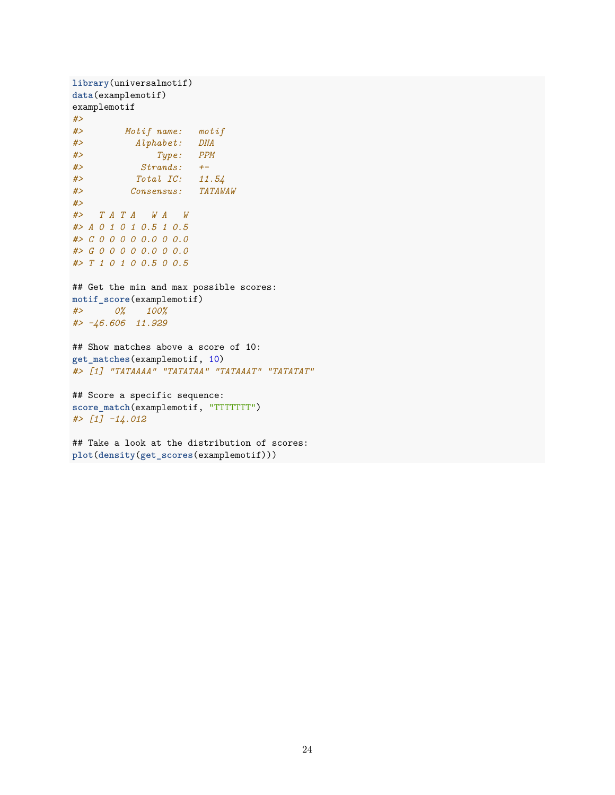```
library(universalmotif)
data(examplemotif)
examplemotif
#>
#> Motif name: motif
#> Alphabet: DNA
#> Type: PPM
#> Strands: +-
#> Total IC: 11.54
#> Consensus: TATAWAW
#>
#> T A T A W A W
#> A 0 1 0 1 0.5 1 0.5
#> C 0 0 0 0 0.0 0 0.0
#> G 0 0 0 0 0.0 0 0.0
#> T 1 0 1 0 0.5 0 0.5
## Get the min and max possible scores:
motif_score(examplemotif)
#> 0% 100%
#> -46.606 11.929
## Show matches above a score of 10:
get_matches(examplemotif, 10)
#> [1] "TATAAAA" "TATATAA" "TATAAAT" "TATATAT"
## Score a specific sequence:
score_match(examplemotif, "TTTTTTT")
#> [1] -14.012
## Take a look at the distribution of scores:
plot(density(get_scores(examplemotif)))
```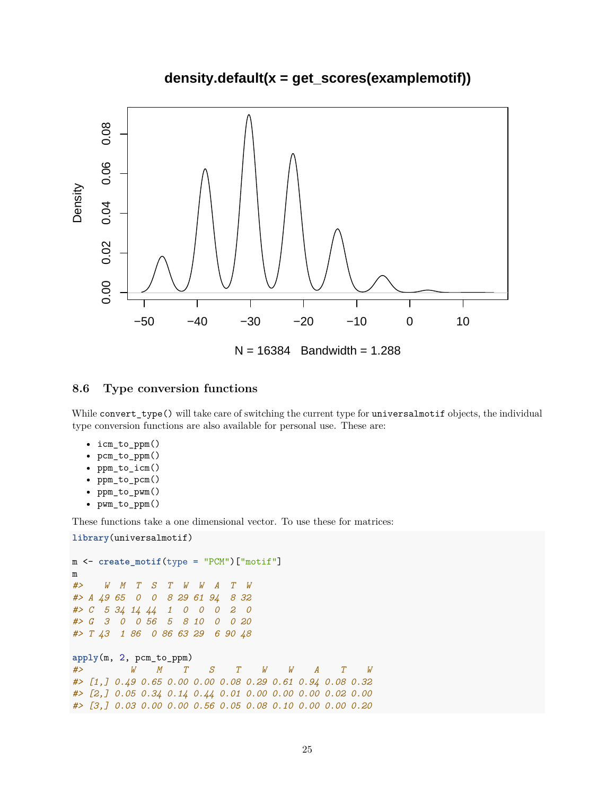## **density.default(x = get\_scores(examplemotif))**



#### <span id="page-24-0"></span>**8.6 Type conversion functions**

While convert\_type() will take care of switching the current type for universalmotif objects, the individual type conversion functions are also available for personal use. These are:

- icm\_to\_ppm()
- pcm\_to\_ppm()
- ppm\_to\_icm()
- ppm\_to\_pcm()
- ppm\_to\_pwm()
- pwm\_to\_ppm()

These functions take a one dimensional vector. To use these for matrices:

```
library(universalmotif)
```

```
m <- create_motif(type = "PCM")["motif"]
m
#> W M T S T W W A T W
#> A 49 65 0 0 8 29 61 94 8 32
#> C 5 34 14 44 1 0 0 0 2 0
#> G 3 0 0 56 5 8 10 0 0 20
#> T 43 1 86 0 86 63 29 6 90 48
apply(m, 2, pcm_to_ppm)
#> W M T S T W W A T W
#> [1,] 0.49 0.65 0.00 0.00 0.08 0.29 0.61 0.94 0.08 0.32
#> [2,] 0.05 0.34 0.14 0.44 0.01 0.00 0.00 0.00 0.02 0.00
#> [3,] 0.03 0.00 0.00 0.56 0.05 0.08 0.10 0.00 0.00 0.20
```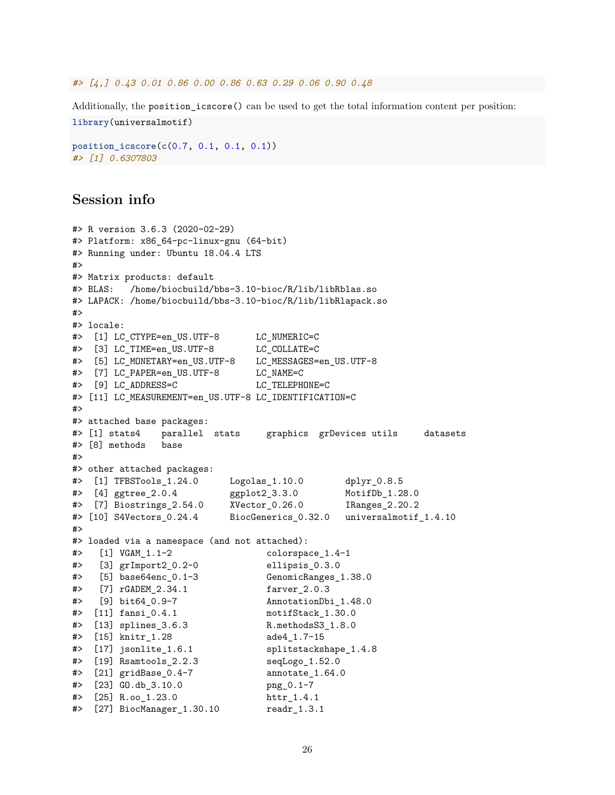#### *#> [4,] 0.43 0.01 0.86 0.00 0.86 0.63 0.29 0.06 0.90 0.48*

Additionally, the position icscore() can be used to get the total information content per position:

```
library(universalmotif)
```

```
position_icscore(c(0.7, 0.1, 0.1, 0.1))
#> [1] 0.6307803
```
## <span id="page-25-0"></span>**Session info**

```
#> R version 3.6.3 (2020-02-29)
#> Platform: x86_64-pc-linux-gnu (64-bit)
#> Running under: Ubuntu 18.04.4 LTS
#>
#> Matrix products: default
#> BLAS: /home/biocbuild/bbs-3.10-bioc/R/lib/libRblas.so
#> LAPACK: /home/biocbuild/bbs-3.10-bioc/R/lib/libRlapack.so
##> locale:
#> [1] LC_CTYPE=en_US.UTF-8 LC_NUMERIC=C
#> [3] LC TIME=en US.UTF-8 LC COLLATE=C
#> [5] LC_MONETARY=en_US.UTF-8 LC_MESSAGES=en_US.UTF-8
#> [7] LC_PAPER=en_US.UTF-8 LC_NAME=C
#> [9] LC_ADDRESS=C LC_TELEPHONE=C
#> [11] LC_MEASUREMENT=en_US.UTF-8 LC_IDENTIFICATION=C
#>
#> attached base packages:
#> [1] stats4 parallel stats graphics grDevices utils datasets
#> [8] methods base
#>
#> other attached packages:
#> [1] TFBSTools_1.24.0 Logolas_1.10.0 dplyr_0.8.5
#> [4] ggtree_2.0.4 ggplot2_3.3.0 MotifDb_1.28.0
#> [7] Biostrings_2.54.0 XVector_0.26.0 IRanges_2.20.2
#> [10] S4Vectors_0.24.4 BiocGenerics_0.32.0 universalmotif_1.4.10
#>
#> loaded via a namespace (and not attached):
#> [1] VGAM_1.1-2 colorspace_1.4-1
#> [3] grImport2_0.2-0 ellipsis_0.3.0
#> [5] base64enc_0.1-3 GenomicRanges_1.38.0
#> [7] rGADEM_2.34.1 farver_2.0.3
#> [9] bit64_0.9-7 AnnotationDbi_1.48.0
#> [11] fansi_0.4.1 motifStack_1.30.0
#> [13] splines_3.6.3 R.methodsS3_1.8.0
#> [15] knitr_1.28
#> [17] isonlite 1.6.1 splitstackshape 1.4.8
#> [19] Rsamtools_2.2.3 seqLogo_1.52.0
#> [21] gridBase_0.4-7 annotate_1.64.0
#> [23] GO.db_3.10.0 png_0.1-7
#> [25] R.oo_1.23.0 httr_1.4.1
#> [27] BiocManager_1.30.10 readr_1.3.1
```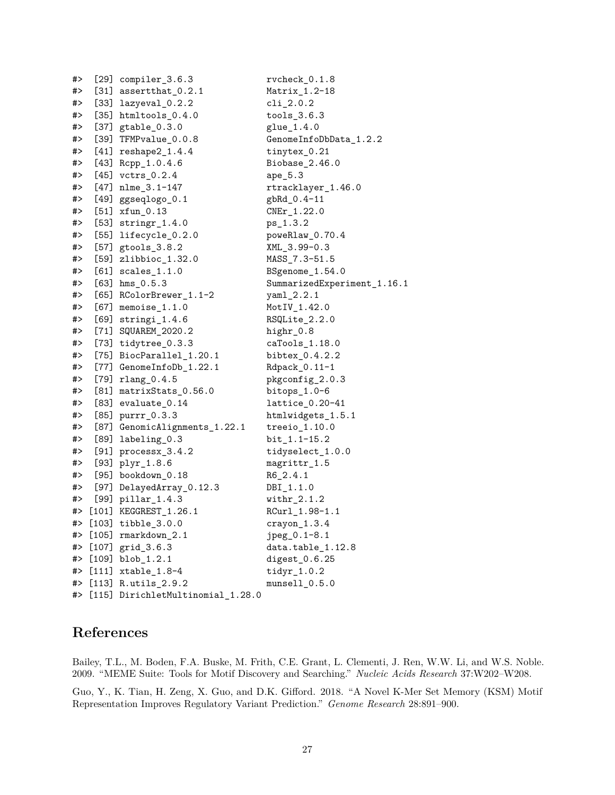| #> | $[29]$ compiler_3.6.3             | rvcheck_0.1.8               |
|----|-----------------------------------|-----------------------------|
| #> | [31] $assertthat_0.2.1$           | Matrix_1.2-18               |
| #> | [33] lazyeval_0.2.2               | $cli_{2}.0.2$               |
| #> | [35] $htmltools_0.4.0$            | $tools_3.6.3$               |
| #> | $[37]$ gtable $_0.3.0$            | glue_1.4.0                  |
| #> | [39] TFMPvalue_0.0.8              | GenomeInfoDbData_1.2.2      |
| #> | $[41]$ reshape $2_1.4.4$          | tinytex_0.21                |
| #> | [43] Rcpp_1.0.4.6                 | Biobase_2.46.0              |
| #> | $[45]$ vctrs $0.2.4$              | $ape_5.3$                   |
| #> | $[47]$ nlme_3.1-147               | rtracklayer_1.46.0          |
| #> | $[49]$ ggseqlogo $_0.1$           | gbRd_0.4-11                 |
| #> | $[51]$ $xfun_0.13$                | $CNEr_1.22.0$               |
| #> | [53] $stringr_1.4.0$              | ps_1.3.2                    |
| #> | [55] lifecycle_0.2.0              | poweRlaw_0.70.4             |
| #> | [57] gtools_3.8.2                 | XML_3.99-0.3                |
| #> | [59] zlibbioc_1.32.0              | MASS_7.3-51.5               |
| #> | [61] $scales_1.1.0$               | BSgenome_1.54.0             |
| #> | $[63]$ hms $[0.5.3]$              | SummarizedExperiment_1.16.1 |
| #> | [65] RColorBrewer_1.1-2           | $yaml_2.2.1$                |
| #> | $[67]$ memoise_1.1.0              | MotIV_1.42.0                |
| #> | $[69]$ stringi $_1.4.6$           | RSQLite_2.2.0               |
| #> | [71] SQUAREM_2020.2               | highr_0.8                   |
| #> | $[73]$ tidytree_0.3.3             | caTools_1.18.0              |
| #> | [75] BiocParallel_1.20.1          | bibtex_0.4.2.2              |
| #> | [77] GenomeInfoDb_1.22.1          | Rdpack_0.11-1               |
| #> | $[79]$ $rlang_0.4.5$              | pkgconfig_2.0.3             |
| #> | $[81]$ matrixStats $_0.56.0$      | bitops $_1.0-6$             |
| #> | $[83]$ evaluate_0.14              | $lattice_0.20-41$           |
| #> | [85] purrr_0.3.3                  | htmlwidgets_1.5.1           |
| #> | [87] GenomicAlignments_1.22.1     | $treeio_1.10.0$             |
| #> | $[89]$ labeling $0.3$             | bit_1.1-15.2                |
| #> | [91] $processx_3.4.2$             | tidyselect_1.0.0            |
| #> | $[93]$ $plyr_1.8.6$               | magrittr_1.5                |
| #> | [95] bookdown_0.18                | $R6_2.4.1$                  |
| #> | [97] DelayedArray_0.12.3          | DBI_1.1.0                   |
| #> | $[99]$ pillar_1.4.3               | $withr_2.1.2$               |
| #> | [101] KEGGREST_1.26.1             | RCurl_1.98-1.1              |
|    | #> [103] tibble_3.0.0             | $crayon_1.3.4$              |
| #> | $[105]$ rmarkdown $2.1$           | jpeg_0.1-8.1                |
| #> | $[107]$ grid_3.6.3                | data.table_1.12.8           |
| #> | $[109]$ blob_1.2.1                | $digest_0.6.25$             |
| #> | $[111]$ xtable_1.8-4              | $\texttt{tidyr}\_1.0.2$     |
| #> | $[113]$ R.utils $2.9.2$           | $munsel1_0.5.0$             |
| #> | [115] DirichletMultinomial 1.28.0 |                             |

## <span id="page-26-0"></span>**References**

Bailey, T.L., M. Boden, F.A. Buske, M. Frith, C.E. Grant, L. Clementi, J. Ren, W.W. Li, and W.S. Noble. 2009. "MEME Suite: Tools for Motif Discovery and Searching." *Nucleic Acids Research* 37:W202–W208.

Guo, Y., K. Tian, H. Zeng, X. Guo, and D.K. Gifford. 2018. "A Novel K-Mer Set Memory (KSM) Motif Representation Improves Regulatory Variant Prediction." *Genome Research* 28:891–900.